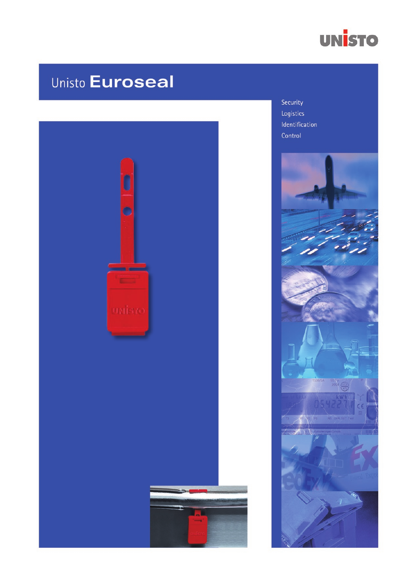

# **Unisto Euroseal**



Security Logistics Identification Control